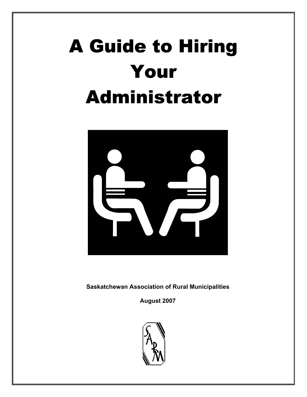# A Guide to Hiring Your Administrator



**Saskatchewan Association of Rural Municipalities** 

**August 2007** 

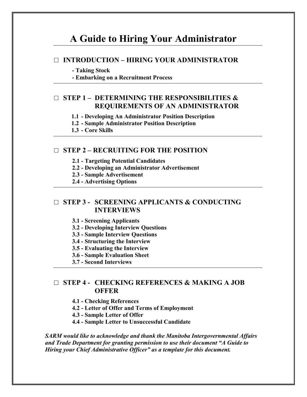## **A Guide to Hiring Your Administrator**

#### □ **INTRODUCTION – HIRING YOUR ADMINISTRATOR**

#### **- Taking Stock**

**- Embarking on a Recruitment Process**

### □ **STEP 1 – DETERMINING THE RESPONSIBILITIES & REQUIREMENTS OF AN ADMINISTRATOR**

**1.1 - Developing An Administrator Position Description** 

**1.2 - Sample Administrator Position Description** 

**1.3 - Core Skills**

### □ **STEP 2 – RECRUITING FOR THE POSITION**

- **2.1 Targeting Potential Candidates**
- **2.2 Developing an Administrator Advertisement**
- **2.3 Sample Advertisement**
- **2.4 Advertising Options**

### □ **STEP 3 - SCREENING APPLICANTS & CONDUCTING INTERVIEWS**

- **3.1 Screening Applicants**
- **3.2 Developing Interview Questions**
- **3.3 Sample Interview Questions**
- **3.4 Structuring the Interview**
- **3.5 Evaluating the Interview**
- **3.6 Sample Evaluation Sheet**
- **3.7 Second Interviews**

### □ **STEP 4 - CHECKING REFERENCES & MAKING A JOB OFFER**

**4.1 - Checking References** 

- **4.2 Letter of Offer and Terms of Employment**
- **4.3 Sample Letter of Offer**
- **4.4 Sample Letter to Unsuccessful Candidate**

*SARM would like to acknowledge and thank the Manitoba Intergovernmental Affairs and Trade Department for granting permission to use their document "A Guide to Hiring your Chief Administrative Officer" as a template for this document.*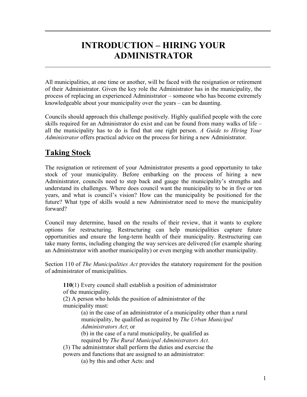# **INTRODUCTION – HIRING YOUR ADMINISTRATOR**

All municipalities, at one time or another, will be faced with the resignation or retirement of their Administrator. Given the key role the Administrator has in the municipality, the process of replacing an experienced Administrator – someone who has become extremely knowledgeable about your municipality over the years – can be daunting.

Councils should approach this challenge positively. Highly qualified people with the core skills required for an Administrator do exist and can be found from many walks of life – all the municipality has to do is find that one right person. *A Guide to Hiring Your Administrator* offers practical advice on the process for hiring a new Administrator.

### **Taking Stock**

The resignation or retirement of your Administrator presents a good opportunity to take stock of your municipality. Before embarking on the process of hiring a new Administrator, councils need to step back and gauge the municipality's strengths and understand its challenges. Where does council want the municipality to be in five or ten years, and what is council's vision? How can the municipality be positioned for the future? What type of skills would a new Administrator need to move the municipality forward?

Council may determine, based on the results of their review, that it wants to explore options for restructuring. Restructuring can help municipalities capture future opportunities and ensure the long-term health of their municipality. Restructuring can take many forms, including changing the way services are delivered (for example sharing an Administrator with another municipality) or even merging with another municipality.

Section 110 of *The Municipalities Act* provides the statutory requirement for the position of administrator of municipalities.

**110**(1) Every council shall establish a position of administrator of the municipality.

(2) A person who holds the position of administrator of the municipality must:

> (a) in the case of an administrator of a municipality other than a rural municipality, be qualified as required by *The Urban Municipal Administrators Act*; or

(b) in the case of a rural municipality, be qualified as

required by *The Rural Municipal Administrators Act.* 

(3) The administrator shall perform the duties and exercise the powers and functions that are assigned to an administrator:

(a) by this and other Acts: and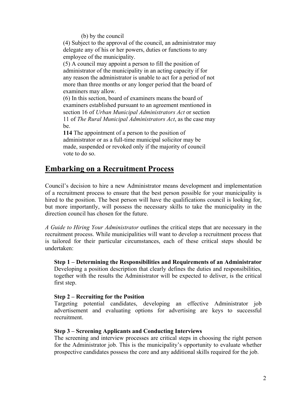#### (b) by the council

(4) Subject to the approval of the council, an administrator may delegate any of his or her powers, duties or functions to any employee of the municipality.

(5) A council may appoint a person to fill the position of administrator of the municipality in an acting capacity if for any reason the administrator is unable to act for a period of not more than three months or any longer period that the board of examiners may allow.

(6) In this section, board of examiners means the board of examiners established pursuant to an agreement mentioned in section 16 of *Urban Municipal Administrators Act* or section 11 of *The Rural Municipal Administrators Act*, as the case may be.

**114** The appointment of a person to the position of administrator or as a full-time municipal solicitor may be made, suspended or revoked only if the majority of council vote to do so.

### **Embarking on a Recruitment Process**

Council's decision to hire a new Administrator means development and implementation of a recruitment process to ensure that the best person possible for your municipality is hired to the position. The best person will have the qualifications council is looking for, but more importantly, will possess the necessary skills to take the municipality in the direction council has chosen for the future.

*A Guide to Hiring Your Administrator* outlines the critical steps that are necessary in the recruitment process. While municipalities will want to develop a recruitment process that is tailored for their particular circumstances, each of these critical steps should be undertaken:

**Step 1 – Determining the Responsibilities and Requirements of an Administrator** Developing a position description that clearly defines the duties and responsibilities, together with the results the Administrator will be expected to deliver, is the critical first step.

#### **Step 2 – Recruiting for the Position**

Targeting potential candidates, developing an effective Administrator job advertisement and evaluating options for advertising are keys to successful recruitment.

#### **Step 3 – Screening Applicants and Conducting Interviews**

The screening and interview processes are critical steps in choosing the right person for the Administrator job. This is the municipality's opportunity to evaluate whether prospective candidates possess the core and any additional skills required for the job.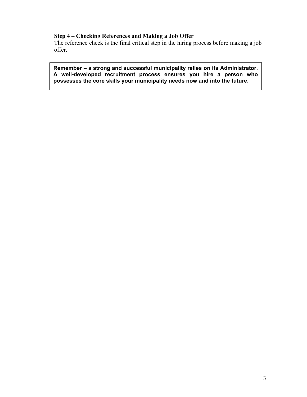### **Step 4 – Checking References and Making a Job Offer**

The reference check is the final critical step in the hiring process before making a job offer.

**Remember – a strong and successful municipality relies on its Administrator. A well-developed recruitment process ensures you hire a person who possesses the core skills your municipality needs now and into the future.**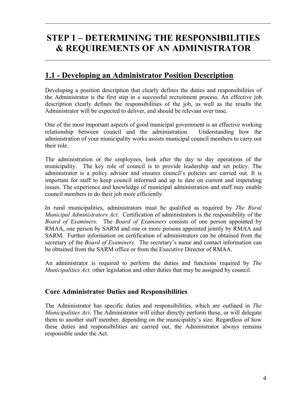# **STEP 1 – DETERMINING THE RESPONSIBILITIES & REQUIREMENTS OF AN ADMINISTRATOR**

### **1.1 - Developing an Administrator Position Description**

Developing a position description that clearly defines the duties and responsibilities of the Administrator is the first step in a successful recruitment process. An effective job description clearly defines the responsibilities of the job, as well as the results the Administrator will be expected to deliver, and should be relevant over time.

One of the most important aspects of good municipal government is an effective working relationship between council and the administration. Understanding how the administration of your municipality works assists municipal council members to carry out their role.

The administration or the employees, look after the day to day operations of the municipality. The key role of council is to provide leadership and set policy. The administrator is a policy advisor and ensures council's policies are carried out. It is important for staff to keep council informed and up to date on current and impending issues. The experience and knowledge of municipal administration and staff may enable council members to do their job more efficiently.

In rural municipalities, administrators must be qualified as required by *The Rural Municipal Administrators Act*. Certification of administrators is the responsibility of the *Board of Examiners*. The *Board of Examiners* consists of one person appointed by RMAA, one person by SARM and one or more persons appointed jointly by RMAA and SARM. Further information on certification of administrators can be obtained from the secretary of the *Board of Examiners.* The secretary's name and contact information can be obtained from the SARM office or from the Executive Director of RMAA.

An administrator is required to perform the duties and functions required by *The Municipalities Act,* other legislation and other duties that may be assigned by council.

### **Core Administrator Duties and Responsibilities**

The Administrator has specific duties and responsibilities, which are outlined in *The Municipalities Act*. The Administrator will either directly perform these, or will delegate them to another staff member, depending on the municipality's size. Regardless of how these duties and responsibilities are carried out, the Administrator always remains responsible under the Act.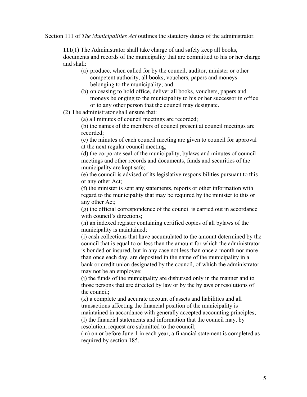Section 111 of *The Municipalities Act* outlines the statutory duties of the administrator.

**111**(1) The Administrator shall take charge of and safely keep all books, documents and records of the municipality that are committed to his or her charge and shall:

- (a) produce, when called for by the council, auditor, minister or other competent authority, all books, vouchers, papers and moneys belonging to the municipality; and
- (b) on ceasing to hold office, deliver all books, vouchers, papers and moneys belonging to the municipality to his or her successor in office or to any other person that the council may designate.

(2) The administrator shall ensure that:

(a) all minutes of council meetings are recorded;

(b) the names of the members of council present at council meetings are recorded;

(c) the minutes of each council meeting are given to council for approval at the next regular council meeting;

(d) the corporate seal of the municipality, bylaws and minutes of council meetings and other records and documents, funds and securities of the municipality are kept safe;

(e) the council is advised of its legislative responsibilities pursuant to this or any other Act;

(f) the minister is sent any statements, reports or other information with regard to the municipality that may be required by the minister to this or any other Act;

(g) the official correspondence of the council is carried out in accordance with council's directions;

(h) an indexed register containing certified copies of all bylaws of the municipality is maintained;

(i) cash collections that have accumulated to the amount determined by the council that is equal to or less than the amount for which the administrator is bonded or insured, but in any case not less than once a month nor more than once each day, are deposited in the name of the municipality in a bank or credit union designated by the council, of which the administrator may not be an employee;

(j) the funds of the municipality are disbursed only in the manner and to those persons that are directed by law or by the bylaws or resolutions of the council;

(k) a complete and accurate account of assets and liabilities and all transactions affecting the financial position of the municipality is maintained in accordance with generally accepted accounting principles; (l) the financial statements and information that the council may, by resolution, request are submitted to the council;

(m) on or before June 1 in each year, a financial statement is completed as required by section 185.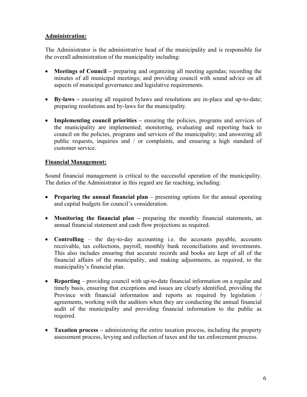### **Administration:**

The Administrator is the administrative head of the municipality and is responsible for the overall administration of the municipality including:

- **Meetings of Council** preparing and organizing all meeting agendas; recording the minutes of all municipal meetings; and providing council with sound advice on all aspects of municipal governance and legislative requirements.
- **By-laws** ensuring all required bylaws and resolutions are in-place and up-to-date; preparing resolutions and by-laws for the municipality.
- **Implementing council priorities** ensuring the policies, programs and services of the municipality are implemented; monitoring, evaluating and reporting back to council on the policies, programs and services of the municipality; and answering all public requests, inquiries and / or complaints, and ensuring a high standard of customer service.

### **Financial Management:**

Sound financial management is critical to the successful operation of the municipality. The duties of the Administrator in this regard are far reaching, including:

- **Preparing the annual financial plan** presenting options for the annual operating and capital budgets for council's consideration.
- **Monitoring the financial plan** preparing the monthly financial statements, an annual financial statement and cash flow projections as required.
- **Controlling**  the day-to-day accounting i.e. the accounts payable, accounts receivable, tax collections, payroll, monthly bank reconciliations and investments. This also includes ensuring that accurate records and books are kept of all of the financial affairs of the municipality, and making adjustments, as required, to the municipality's financial plan.
- **Reporting** providing council with up-to-date financial information on a regular and timely basis, ensuring that exceptions and issues are clearly identified, providing the Province with financial information and reports as required by legislation / agreements, working with the auditors when they are conducting the annual financial audit of the municipality and providing financial information to the public as required.
- **Taxation process** administering the entire taxation process, including the property assessment process, levying and collection of taxes and the tax enforcement process.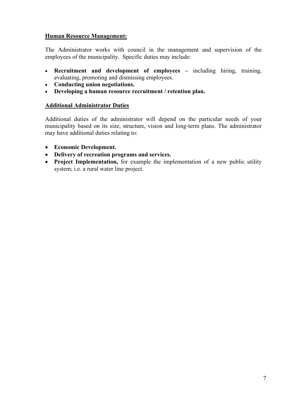### **Human Resource Management:**

The Administrator works with council in the management and supervision of the employees of the municipality. Specific duties may include:

- **Recruitment and development of employees** including hiring, training, evaluating, promoting and dismissing employees.
- **Conducting union negotiations.**
- **Developing a human resource recruitment / retention plan.**

### **Additional Administrator Duties**

Additional duties of the administrator will depend on the particular needs of your municipality based on its size, structure, vision and long-term plans. The administrator may have additional duties relating to:

- **Economic Development.**
- **Delivery of recreation programs and services.**
- **Project Implementation,** for example the implementation of a new public utility system; i.e. a rural water line project.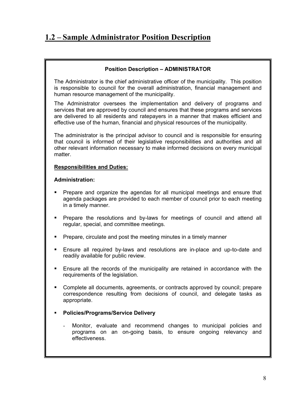### **1.2 – Sample Administrator Position Description**

#### **Position Description – ADMINISTRATOR**

The Administrator is the chief administrative officer of the municipality. This position is responsible to council for the overall administration, financial management and human resource management of the municipality.

The Administrator oversees the implementation and delivery of programs and services that are approved by council and ensures that these programs and services are delivered to all residents and ratepayers in a manner that makes efficient and effective use of the human, financial and physical resources of the municipality.

The administrator is the principal advisor to council and is responsible for ensuring that council is informed of their legislative responsibilities and authorities and all other relevant information necessary to make informed decisions on every municipal matter.

#### **Responsibilities and Duties:**

#### **Administration:**

- Prepare and organize the agendas for all municipal meetings and ensure that agenda packages are provided to each member of council prior to each meeting in a timely manner.
- **Prepare the resolutions and by-laws for meetings of council and attend all** regular, special, and committee meetings.
- **Prepare, circulate and post the meeting minutes in a timely manner**
- Ensure all required by-laws and resolutions are in-place and up-to-date and readily available for public review.
- Ensure all the records of the municipality are retained in accordance with the requirements of the legislation.
- Complete all documents, agreements, or contracts approved by council; prepare correspondence resulting from decisions of council, and delegate tasks as appropriate.
- **Policies/Programs/Service Delivery**
	- Monitor, evaluate and recommend changes to municipal policies and programs on an on-going basis, to ensure ongoing relevancy and effectiveness.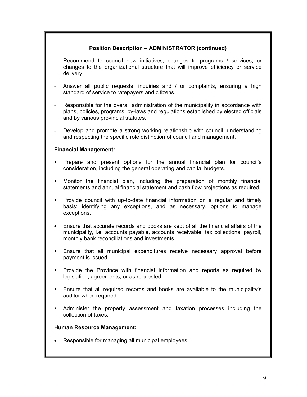#### **Position Description – ADMINISTRATOR (continued)**

- Recommend to council new initiatives, changes to programs / services, or changes to the organizational structure that will improve efficiency or service delivery.
- Answer all public requests, inquiries and / or complaints, ensuring a high standard of service to ratepayers and citizens.
- Responsible for the overall administration of the municipality in accordance with plans, policies, programs, by-laws and regulations established by elected officials and by various provincial statutes.
- Develop and promote a strong working relationship with council, understanding and respecting the specific role distinction of council and management.

#### **Financial Management:**

- Prepare and present options for the annual financial plan for council's consideration, including the general operating and capital budgets.
- Monitor the financial plan, including the preparation of monthly financial statements and annual financial statement and cash flow projections as required.
- Provide council with up-to-date financial information on a regular and timely basis; identifying any exceptions, and as necessary, options to manage exceptions.
- Ensure that accurate records and books are kept of all the financial affairs of the municipality, i.e. accounts payable, accounts receivable, tax collections, payroll, monthly bank reconciliations and investments.
- Ensure that all municipal expenditures receive necessary approval before payment is issued.
- **Provide the Province with financial information and reports as required by** legislation, agreements, or as requested.
- Ensure that all required records and books are available to the municipality's auditor when required.
- Administer the property assessment and taxation processes including the collection of taxes.

#### **Human Resource Management:**

• Responsible for managing all municipal employees.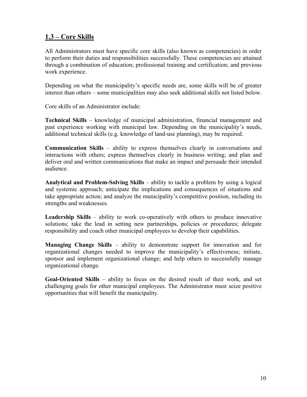### **1.3 – Core Skills**

All Administrators must have specific core skills (also known as competencies) in order to perform their duties and responsibilities successfully. These competencies are attained through a combination of education; professional training and certification; and previous work experience.

Depending on what the municipality's specific needs are, some skills will be of greater interest than others – some municipalities may also seek additional skills not listed below.

Core skills of an Administrator include:

**Technical Skills** – knowledge of municipal administration, financial management and past experience working with municipal law. Depending on the municipality's needs, additional technical skills (e.g. knowledge of land-use planning), may be required.

**Communication Skills** – ability to express themselves clearly in conversations and interactions with others; express themselves clearly in business writing; and plan and deliver oral and written communications that make an impact and persuade their intended audience.

**Analytical and Problem-Solving Skills** – ability to tackle a problem by using a logical and systemic approach; anticipate the implications and consequences of situations and take appropriate action; and analyze the municipality's competitive position, including its strengths and weaknesses.

**Leadership Skills** – ability to work co-operatively with others to produce innovative solutions; take the lead in setting new partnerships, policies or procedures; delegate responsibility and coach other municipal employees to develop their capabilities.

**Managing Change Skills** – ability to demonstrate support for innovation and for organizational changes needed to improve the municipality's effectiveness; initiate, sponsor and implement organizational change; and help others to successfully manage organizational change.

**Goal-Oriented Skills** – ability to focus on the desired result of their work, and set challenging goals for other municipal employees. The Administrator must seize positive opportunities that will benefit the municipality.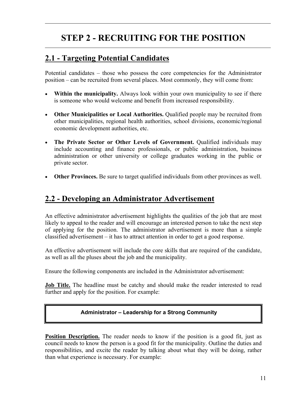# **STEP 2 - RECRUITING FOR THE POSITION**

### **2.1 - Targeting Potential Candidates**

Potential candidates – those who possess the core competencies for the Administrator position – can be recruited from several places. Most commonly, they will come from:

- **Within the municipality.** Always look within your own municipality to see if there is someone who would welcome and benefit from increased responsibility.
- **Other Municipalities or Local Authorities.** Qualified people may be recruited from other municipalities, regional health authorities, school divisions, economic/regional economic development authorities, etc.
- The Private Sector or Other Levels of Government. Qualified individuals may include accounting and finance professionals, or public administration, business administration or other university or college graduates working in the public or private sector.
- **Other Provinces.** Be sure to target qualified individuals from other provinces as well.

### **2.2 - Developing an Administrator Advertisement**

An effective administrator advertisement highlights the qualities of the job that are most likely to appeal to the reader and will encourage an interested person to take the next step of applying for the position. The administrator advertisement is more than a simple classified advertisement – it has to attract attention in order to get a good response.

An effective advertisement will include the core skills that are required of the candidate, as well as all the pluses about the job and the municipality.

Ensure the following components are included in the Administrator advertisement:

**Job Title.** The headline must be catchy and should make the reader interested to read further and apply for the position. For example:

### **Administrator – Leadership for a Strong Community**

**Position Description.** The reader needs to know if the position is a good fit, just as council needs to know the person is a good fit for the municipality. Outline the duties and responsibilities, and excite the reader by talking about what they will be doing, rather than what experience is necessary. For example: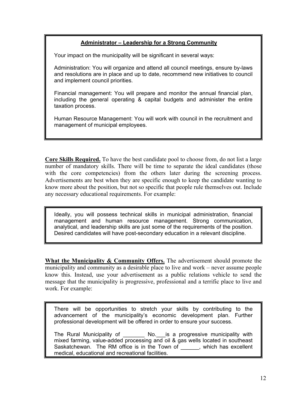### **Administrator – Leadership for a Strong Community**

Your impact on the municipality will be significant in several ways:

Administration: You will organize and attend all council meetings, ensure by-laws and resolutions are in place and up to date, recommend new initiatives to council and implement council priorities.

Financial management: You will prepare and monitor the annual financial plan, including the general operating & capital budgets and administer the entire taxation process.

Human Resource Management: You will work with council in the recruitment and management of municipal employees.

**Core Skills Required.** To have the best candidate pool to choose from, do not list a large number of mandatory skills. There will be time to separate the ideal candidates (those with the core competencies) from the others later during the screening process. Advertisements are best when they are specific enough to keep the candidate wanting to know more about the position, but not so specific that people rule themselves out. Include any necessary educational requirements. For example:

Ideally, you will possess technical skills in municipal administration, financial management and human resource management. Strong communication, analytical, and leadership skills are just some of the requirements of the position. Desired candidates will have post-secondary education in a relevant discipline.

**What the Municipality & Community Offers.** The advertisement should promote the municipality and community as a desirable place to live and work – never assume people know this. Instead, use your advertisement as a public relations vehicle to send the message that the municipality is progressive, professional and a terrific place to live and work. For example:

There will be opportunities to stretch your skills by contributing to the advancement of the municipality's economic development plan. Further professional development will be offered in order to ensure your success.

The Rural Municipality of The No. is a progressive municipality with mixed farming, value-added processing and oil & gas wells located in southeast Saskatchewan. The RM office is in the Town of \_\_\_\_\_\_, which has excellent medical, educational and recreational facilities.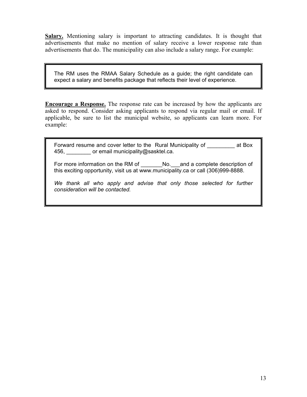**Salary.** Mentioning salary is important to attracting candidates. It is thought that advertisements that make no mention of salary receive a lower response rate than advertisements that do. The municipality can also include a salary range. For example:

The RM uses the RMAA Salary Schedule as a guide; the right candidate can expect a salary and benefits package that reflects their level of experience.

**Encourage a Response.** The response rate can be increased by how the applicants are asked to respond. Consider asking applicants to respond via regular mail or email. If applicable, be sure to list the municipal website, so applicants can learn more. For example:

Forward resume and cover letter to the Rural Municipality of at Box 456, \_\_\_\_\_\_\_\_ or email municipality@sasktel.ca.

For more information on the RM of \_\_\_\_\_\_\_\_\_No.\_\_\_and a complete description of this exciting opportunity, visit us at www.municipality.ca or call (306)999-8888.

We thank all who apply and advise that only those selected for further *consideration will be contacted.*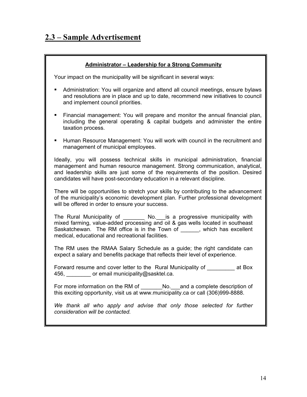### **2.3 – Sample Advertisement**

#### **Administrator – Leadership for a Strong Community**

Your impact on the municipality will be significant in several ways:

- Administration: You will organize and attend all council meetings, ensure bylaws and resolutions are in place and up to date, recommend new initiatives to council and implement council priorities.
- Financial management: You will prepare and monitor the annual financial plan, including the general operating & capital budgets and administer the entire taxation process.
- Human Resource Management: You will work with council in the recruitment and management of municipal employees.

Ideally, you will possess technical skills in municipal administration, financial management and human resource management. Strong communication, analytical, and leadership skills are just some of the requirements of the position. Desired candidates will have post-secondary education in a relevant discipline.

There will be opportunities to stretch your skills by contributing to the advancement of the municipality's economic development plan. Further professional development will be offered in order to ensure your success.

The Rural Municipality of \_\_\_\_\_\_\_\_ No.\_\_\_is a progressive municipality with mixed farming, value-added processing and oil & gas wells located in southeast Saskatchewan. The RM office is in the Town of \_\_\_\_\_\_, which has excellent medical, educational and recreational facilities.

The RM uses the RMAA Salary Schedule as a guide; the right candidate can expect a salary and benefits package that reflects their level of experience.

Forward resume and cover letter to the Rural Municipality of at Box 456, external municipality@sasktel.ca.

For more information on the RM of \_\_\_\_\_\_\_No.\_\_and a complete description of this exciting opportunity, visit us at www.municipality.ca or call (306)999-8888.

We thank all who apply and advise that only those selected for further *consideration will be contacted.*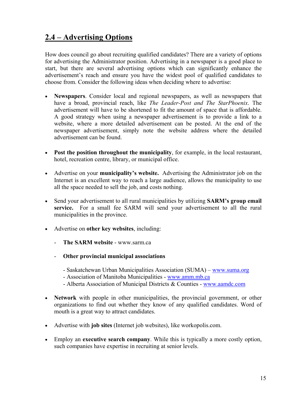### **2.4 – Advertising Options**

How does council go about recruiting qualified candidates? There are a variety of options for advertising the Administrator position. Advertising in a newspaper is a good place to start, but there are several advertising options which can significantly enhance the advertisement's reach and ensure you have the widest pool of qualified candidates to choose from. Consider the following ideas when deciding where to advertise:

- **Newspapers**. Consider local and regional newspapers, as well as newspapers that have a broad, provincial reach, like *The Leader-Post and The StarPhoenix*. The advertisement will have to be shortened to fit the amount of space that is affordable. A good strategy when using a newspaper advertisement is to provide a link to a website, where a more detailed advertisement can be posted. At the end of the newspaper advertisement, simply note the website address where the detailed advertisement can be found.
- **Post the position throughout the municipality**, for example, in the local restaurant, hotel, recreation centre, library, or municipal office.
- Advertise on your **municipality's website.** Advertising the Administrator job on the Internet is an excellent way to reach a large audience, allows the municipality to use all the space needed to sell the job, and costs nothing.
- Send your advertisement to all rural municipalities by utilizing **SARM's group email**  service. For a small fee SARM will send your advertisement to all the rural municipalities in the province.
- Advertise on **other key websites**, including:
	- **The SARM website**  www.sarm.ca
	- **Other provincial municipal associations**
		- Saskatchewan Urban Municipalities Association (SUMA) www.suma.org
		- Association of Manitoba Municipalities www.amm.mb.ca
		- Alberta Association of Municipal Districts & Counties www.aamdc.com
- **Network** with people in other municipalities, the provincial government, or other organizations to find out whether they know of any qualified candidates. Word of mouth is a great way to attract candidates.
- Advertise with **job sites** (Internet job websites), like workopolis.com.
- Employ an **executive search company**. While this is typically a more costly option, such companies have expertise in recruiting at senior levels.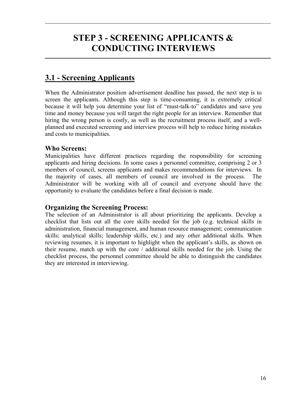# **STEP 3 - SCREENING APPLICANTS & CONDUCTING INTERVIEWS**

### **3.1 - Screening Applicants**

When the Administrator position advertisement deadline has passed, the next step is to screen the applicants. Although this step is time-consuming, it is extremely critical because it will help you determine your list of "must-talk-to" candidates and save you time and money because you will target the right people for an interview. Remember that hiring the wrong person is costly, as well as the recruitment process itself, and a wellplanned and executed screening and interview process will help to reduce hiring mistakes and costs to municipalities.

### **Who Screens:**

Municipalities have different practices regarding the responsibility for screening applicants and hiring decisions. In some cases a personnel committee, comprising 2 or 3 members of council, screens applicants and makes recommendations for interviews. In the majority of cases, all members of council are involved in the process. The Administrator will be working with all of council and everyone should have the opportunity to evaluate the candidates before a final decision is made.

### **Organizing the Screening Process:**

The selection of an Administrator is all about prioritizing the applicants. Develop a checklist that lists out all the core skills needed for the job (e.g. technical skills in administration, financial management, and human resource management; communication skills; analytical skills; leadership skills, etc.) and any other additional skills. When reviewing resumes, it is important to highlight when the applicant's skills, as shown on their resume, match up with the core / additional skills needed for the job. Using the checklist process, the personnel committee should be able to distinguish the candidates they are interested in interviewing.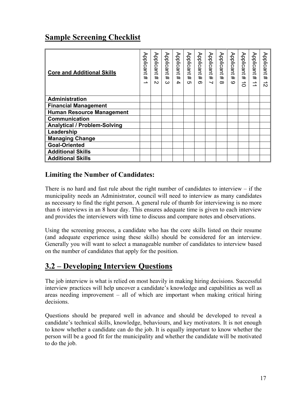### **Sample Screening Checklist**

| <b>Core and Additional Skills</b>   | Applicant<br>#<br>∸ | Applicant<br>#<br>$\mathbf{v}$ | Applicant<br>#<br>ω | Applicant #<br>4 | Applicant<br>#<br>cл | Applicant<br>$\pm$<br>$\infty$ | Applicant<br>$\ddagger$<br>$\overline{\phantom{0}}$ | Applicant<br>#<br>$\infty$ | Applicant<br>#<br>ဖ | Applicant<br>#<br>$\vec{0}$ | Applicant<br>$\ddagger$<br>$\rightarrow$<br>→ | Applicant<br>#<br>→<br>$\mathbf{v}$ |
|-------------------------------------|---------------------|--------------------------------|---------------------|------------------|----------------------|--------------------------------|-----------------------------------------------------|----------------------------|---------------------|-----------------------------|-----------------------------------------------|-------------------------------------|
| <b>Administration</b>               |                     |                                |                     |                  |                      |                                |                                                     |                            |                     |                             |                                               |                                     |
| <b>Financial Management</b>         |                     |                                |                     |                  |                      |                                |                                                     |                            |                     |                             |                                               |                                     |
| <b>Human Resource Management</b>    |                     |                                |                     |                  |                      |                                |                                                     |                            |                     |                             |                                               |                                     |
| <b>Communication</b>                |                     |                                |                     |                  |                      |                                |                                                     |                            |                     |                             |                                               |                                     |
| <b>Analytical / Problem-Solving</b> |                     |                                |                     |                  |                      |                                |                                                     |                            |                     |                             |                                               |                                     |
| Leadership                          |                     |                                |                     |                  |                      |                                |                                                     |                            |                     |                             |                                               |                                     |
| <b>Managing Change</b>              |                     |                                |                     |                  |                      |                                |                                                     |                            |                     |                             |                                               |                                     |
| <b>Goal-Oriented</b>                |                     |                                |                     |                  |                      |                                |                                                     |                            |                     |                             |                                               |                                     |
| <b>Additional Skills</b>            |                     |                                |                     |                  |                      |                                |                                                     |                            |                     |                             |                                               |                                     |
| <b>Additional Skills</b>            |                     |                                |                     |                  |                      |                                |                                                     |                            |                     |                             |                                               |                                     |

### **Limiting the Number of Candidates:**

There is no hard and fast rule about the right number of candidates to interview  $-$  if the municipality needs an Administrator, council will need to interview as many candidates as necessary to find the right person. A general rule of thumb for interviewing is no more than 6 interviews in an 8 hour day. This ensures adequate time is given to each interview and provides the interviewers with time to discuss and compare notes and observations.

Using the screening process, a candidate who has the core skills listed on their resume (and adequate experience using these skills) should be considered for an interview. Generally you will want to select a manageable number of candidates to interview based on the number of candidates that apply for the position.

### **3.2 – Developing Interview Questions**

The job interview is what is relied on most heavily in making hiring decisions. Successful interview practices will help uncover a candidate's knowledge and capabilities as well as areas needing improvement – all of which are important when making critical hiring decisions.

Questions should be prepared well in advance and should be developed to reveal a candidate's technical skills, knowledge, behaviours, and key motivators. It is not enough to know whether a candidate can do the job. It is equally important to know whether the person will be a good fit for the municipality and whether the candidate will be motivated to do the job.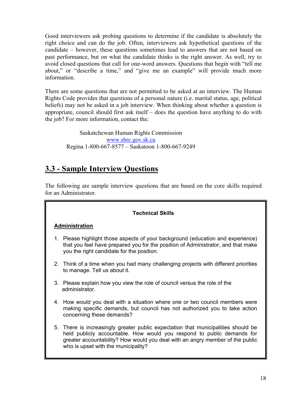Good interviewers ask probing questions to determine if the candidate is absolutely the right choice and can do the job. Often, interviewers ask hypothetical questions of the candidate – however, these questions sometimes lead to answers that are not based on past performance, but on what the candidate thinks is the right answer. As well, try to avoid closed questions that call for one-word answers. Questions that begin with "tell me about," or "describe a time," and "give me an example" will provide much more information.

There are some questions that are not permitted to be asked at an interview. The Human Rights Code provides that questions of a personal nature (i.e. marital status, age, political beliefs) may not be asked in a job interview. When thinking about whether a question is appropriate, council should first ask itself – does the question have anything to do with the job? For more information, contact the:

Saskatchewan Human Rights Commission www.shrc.gov.sk.ca Regina 1-800-667-8577 – Saskatoon 1-800-667-9249

### **3.3 - Sample Interview Questions**

The following are sample interview questions that are based on the core skills required for an Administrator.

### **Technical Skills**

### **Administration**

- 1. Please highlight those aspects of your background (education and experience) that you feel have prepared you for the position of Administrator, and that make you the right candidate for the position.
- 2. Think of a time when you had many challenging projects with different priorities to manage. Tell us about it.
- 3. Please explain how you view the role of council versus the role of the administrator.
- 4. How would you deal with a situation where one or two council members were making specific demands, but council has not authorized you to take action concerning these demands?
- 5. There is increasingly greater public expectation that municipalities should be held publicly accountable. How would you respond to public demands for greater accountability? How would you deal with an angry member of the public who is upset with the municipality?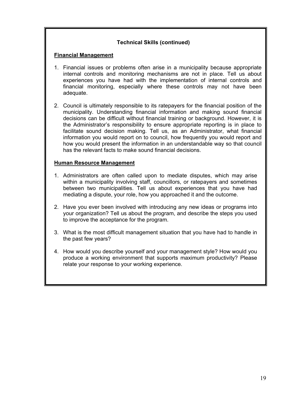### **Technical Skills (continued)**

#### **Financial Management**

- 1. Financial issues or problems often arise in a municipality because appropriate internal controls and monitoring mechanisms are not in place. Tell us about experiences you have had with the implementation of internal controls and financial monitoring, especially where these controls may not have been adequate.
- 2. Council is ultimately responsible to its ratepayers for the financial position of the municipality. Understanding financial information and making sound financial decisions can be difficult without financial training or background. However, it is the Administrator's responsibility to ensure appropriate reporting is in place to facilitate sound decision making. Tell us, as an Administrator, what financial information you would report on to council, how frequently you would report and how you would present the information in an understandable way so that council has the relevant facts to make sound financial decisions.

#### **Human Resource Management**

- 1. Administrators are often called upon to mediate disputes, which may arise within a municipality involving staff, councillors, or ratepayers and sometimes between two municipalities. Tell us about experiences that you have had mediating a dispute, your role, how you approached it and the outcome.
- 2. Have you ever been involved with introducing any new ideas or programs into your organization? Tell us about the program, and describe the steps you used to improve the acceptance for the program.
- 3. What is the most difficult management situation that you have had to handle in the past few years?
- 4. How would you describe yourself and your management style? How would you produce a working environment that supports maximum productivity? Please relate your response to your working experience.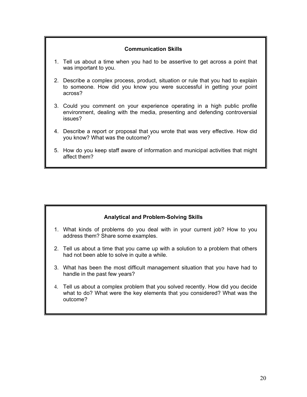#### **Communication Skills**

- 1. Tell us about a time when you had to be assertive to get across a point that was important to you.
- 2. Describe a complex process, product, situation or rule that you had to explain to someone. How did you know you were successful in getting your point across?
- 3. Could you comment on your experience operating in a high public profile environment, dealing with the media, presenting and defending controversial issues?
- 4. Describe a report or proposal that you wrote that was very effective. How did you know? What was the outcome?
- 5. How do you keep staff aware of information and municipal activities that might affect them?

### **Analytical and Problem-Solving Skills**

- 1. What kinds of problems do you deal with in your current job? How to you address them? Share some examples.
- 2. Tell us about a time that you came up with a solution to a problem that others had not been able to solve in quite a while.
- 3. What has been the most difficult management situation that you have had to handle in the past few years?
- 4. Tell us about a complex problem that you solved recently. How did you decide what to do? What were the key elements that you considered? What was the outcome?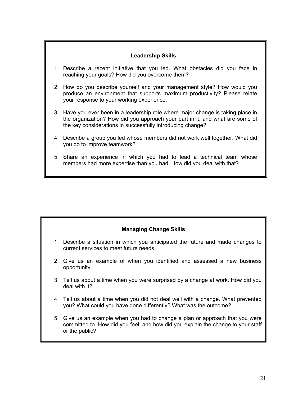### **Leadership Skills**

- 1. Describe a recent initiative that you led. What obstacles did you face in reaching your goals? How did you overcome them?
- 2. How do you describe yourself and your management style? How would you produce an environment that supports maximum productivity? Please relate your response to your working experience.
- 3. Have you ever been in a leadership role where major change is taking place in the organization? How did you approach your part in it, and what are some of the key considerations in successfully introducing change?
- 4. Describe a group you led whose members did not work well together. What did you do to improve teamwork?
- 5. Share an experience in which you had to lead a technical team whose members had more expertise than you had. How did you deal with that?

### **Managing Change Skills**

- 1. Describe a situation in which you anticipated the future and made changes to current services to meet future needs.
- 2. Give us an example of when you identified and assessed a new business opportunity.
- 3. Tell us about a time when you were surprised by a change at work. How did you deal with it?
- 4. Tell us about a time when you did not deal well with a change. What prevented you? What could you have done differently? What was the outcome?
- 5. Give us an example when you had to change a plan or approach that you were committed to. How did you feel, and how did you explain the change to your staff or the public?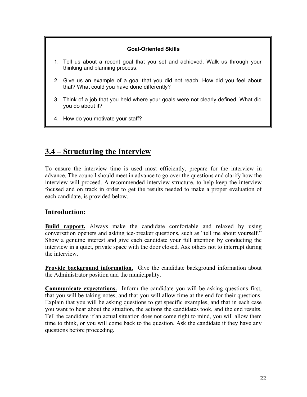### **Goal-Oriented Skills**

- 1. Tell us about a recent goal that you set and achieved. Walk us through your thinking and planning process.
- 2. Give us an example of a goal that you did not reach. How did you feel about that? What could you have done differently?
- 3. Think of a job that you held where your goals were not clearly defined. What did you do about it?
- 4. How do you motivate your staff?

### **3.4 – Structuring the Interview**

To ensure the interview time is used most efficiently, prepare for the interview in advance. The council should meet in advance to go over the questions and clarify how the interview will proceed. A recommended interview structure, to help keep the interview focused and on track in order to get the results needed to make a proper evaluation of each candidate, is provided below.

### **Introduction:**

**Build rapport.** Always make the candidate comfortable and relaxed by using conversation openers and asking ice-breaker questions, such as "tell me about yourself." Show a genuine interest and give each candidate your full attention by conducting the interview in a quiet, private space with the door closed. Ask others not to interrupt during the interview.

**Provide background information.** Give the candidate background information about the Administrator position and the municipality.

**Communicate expectations.** Inform the candidate you will be asking questions first, that you will be taking notes, and that you will allow time at the end for their questions. Explain that you will be asking questions to get specific examples, and that in each case you want to hear about the situation, the actions the candidates took, and the end results. Tell the candidate if an actual situation does not come right to mind, you will allow them time to think, or you will come back to the question. Ask the candidate if they have any questions before proceeding.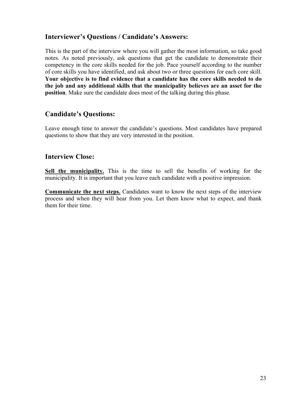### **Interviewer's Questions / Candidate's Answers:**

This is the part of the interview where you will gather the most information, so take good notes. As noted previously, ask questions that get the candidate to demonstrate their competency in the core skills needed for the job. Pace yourself according to the number of core skills you have identified, and ask about two or three questions for each core skill. **Your objective is to find evidence that a candidate has the core skills needed to do the job and any additional skills that the municipality believes are an asset for the position**. Make sure the candidate does most of the talking during this phase.

### **Candidate's Questions:**

Leave enough time to answer the candidate's questions. Most candidates have prepared questions to show that they are very interested in the position.

### **Interview Close:**

**Sell the municipality.** This is the time to sell the benefits of working for the municipality. It is important that you leave each candidate with a positive impression.

**Communicate the next steps.** Candidates want to know the next steps of the interview process and when they will hear from you. Let them know what to expect, and thank them for their time.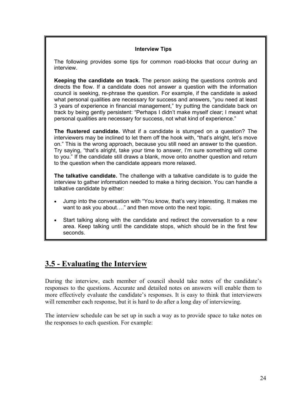#### **Interview Tips**

The following provides some tips for common road-blocks that occur during an interview.

**Keeping the candidate on track.** The person asking the questions controls and directs the flow. If a candidate does not answer a question with the information council is seeking, re-phrase the question. For example, if the candidate is asked what personal qualities are necessary for success and answers, "you need at least 3 years of experience in financial management," try putting the candidate back on track by being gently persistent: "Perhaps I didn't make myself clear; I meant what personal qualities are necessary for success, not what kind of experience."

**The flustered candidate.** What if a candidate is stumped on a question? The interviewers may be inclined to let them off the hook with, "that's alright, let's move on." This is the wrong approach, because you still need an answer to the question. Try saying, "that's alright, take your time to answer, I'm sure something will come to you." If the candidate still draws a blank, move onto another question and return to the question when the candidate appears more relaxed.

**The talkative candidate.** The challenge with a talkative candidate is to guide the interview to gather information needed to make a hiring decision. You can handle a talkative candidate by either:

- Jump into the conversation with "You know, that's very interesting. It makes me want to ask you about…." and then move onto the next topic.
- Start talking along with the candidate and redirect the conversation to a new area. Keep talking until the candidate stops, which should be in the first few seconds.

### **3.5 - Evaluating the Interview**

During the interview, each member of council should take notes of the candidate's responses to the questions. Accurate and detailed notes on answers will enable them to more effectively evaluate the candidate's responses. It is easy to think that interviewers will remember each response, but it is hard to do after a long day of interviewing.

The interview schedule can be set up in such a way as to provide space to take notes on the responses to each question. For example: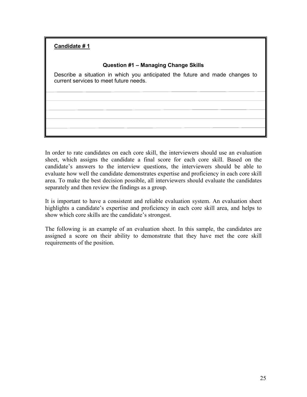### **Candidate # 1**

#### **Question #1 – Managing Change Skills**

Describe a situation in which you anticipated the future and made changes to current services to meet future needs.

In order to rate candidates on each core skill, the interviewers should use an evaluation sheet, which assigns the candidate a final score for each core skill. Based on the candidate's answers to the interview questions, the interviewers should be able to evaluate how well the candidate demonstrates expertise and proficiency in each core skill area. To make the best decision possible, all interviewers should evaluate the candidates separately and then review the findings as a group.

It is important to have a consistent and reliable evaluation system. An evaluation sheet highlights a candidate's expertise and proficiency in each core skill area, and helps to show which core skills are the candidate's strongest.

The following is an example of an evaluation sheet. In this sample, the candidates are assigned a score on their ability to demonstrate that they have met the core skill requirements of the position.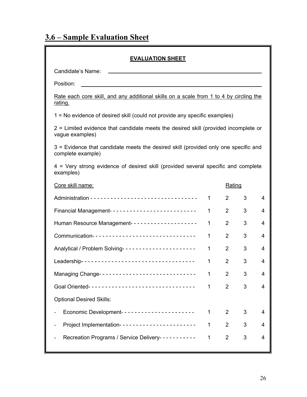# **3.6 – Sample Evaluation Sheet**

| <b>EVALUATION SHEET</b>                                                                                  |              |                |   |   |  |  |  |  |  |
|----------------------------------------------------------------------------------------------------------|--------------|----------------|---|---|--|--|--|--|--|
| Candidate's Name:                                                                                        |              |                |   |   |  |  |  |  |  |
| Position:                                                                                                |              |                |   |   |  |  |  |  |  |
| <u>Rate each core skill, and any additional skills on a scale from 1 to 4 by circling the</u><br>rating. |              |                |   |   |  |  |  |  |  |
| 1 = No evidence of desired skill (could not provide any specific examples)                               |              |                |   |   |  |  |  |  |  |
| 2 = Limited evidence that candidate meets the desired skill (provided incomplete or<br>vague examples)   |              |                |   |   |  |  |  |  |  |
| 3 = Evidence that candidate meets the desired skill (provided only one specific and<br>complete example) |              |                |   |   |  |  |  |  |  |
| 4 = Very strong evidence of desired skill (provided several specific and complete<br>examples)           |              |                |   |   |  |  |  |  |  |
| Core skill name:<br>Rating                                                                               |              |                |   |   |  |  |  |  |  |
|                                                                                                          | $\mathbf 1$  | $\overline{2}$ | 3 | 4 |  |  |  |  |  |
| Financial Management-------------------------                                                            | $\mathbf 1$  | $\overline{2}$ | 3 | 4 |  |  |  |  |  |
| Human Resource Management--------------------                                                            | $\mathbf 1$  | $\overline{2}$ | 3 | 4 |  |  |  |  |  |
| Communication-------------------------------                                                             | 1            | $\overline{2}$ | 3 | 4 |  |  |  |  |  |
| Analytical / Problem Solving----------------------                                                       | $\mathbf{1}$ | $\overline{2}$ | 3 | 4 |  |  |  |  |  |
| Leadership-----------------------------------                                                            | 1            | $\overline{2}$ | 3 | 4 |  |  |  |  |  |
| Managing Change----------------------------                                                              | 1            | 2              | 3 | 4 |  |  |  |  |  |
|                                                                                                          | $\mathbf{1}$ | $\overline{2}$ | 3 | 4 |  |  |  |  |  |
| <b>Optional Desired Skills:</b>                                                                          |              |                |   |   |  |  |  |  |  |
| Economic Development----------------------                                                               | 1            | $\overline{2}$ | 3 | 4 |  |  |  |  |  |
| Project Implementation-----------------------                                                            | $\mathbf{1}$ | $\overline{2}$ | 3 | 4 |  |  |  |  |  |
| Recreation Programs / Service Delivery-----------                                                        | $\mathbf 1$  | $\overline{2}$ | 3 | 4 |  |  |  |  |  |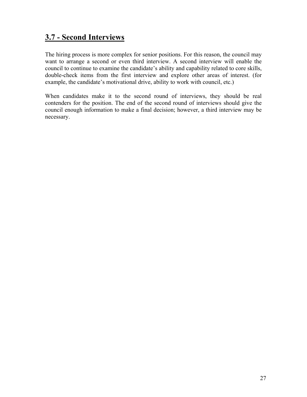### **3.7 - Second Interviews**

The hiring process is more complex for senior positions. For this reason, the council may want to arrange a second or even third interview. A second interview will enable the council to continue to examine the candidate's ability and capability related to core skills, double-check items from the first interview and explore other areas of interest. (for example, the candidate's motivational drive, ability to work with council, etc.)

When candidates make it to the second round of interviews, they should be real contenders for the position. The end of the second round of interviews should give the council enough information to make a final decision; however, a third interview may be necessary.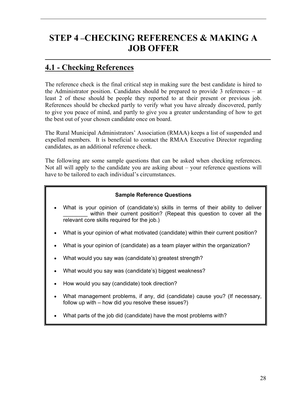# **STEP 4 –CHECKING REFERENCES & MAKING A JOB OFFER**

### **4.1 - Checking References**

The reference check is the final critical step in making sure the best candidate is hired to the Administrator position. Candidates should be prepared to provide 3 references – at least 2 of these should be people they reported to at their present or previous job. References should be checked partly to verify what you have already discovered, partly to give you peace of mind, and partly to give you a greater understanding of how to get the best out of your chosen candidate once on board.

The Rural Municipal Administrators' Association (RMAA) keeps a list of suspended and expelled members. It is beneficial to contact the RMAA Executive Director regarding candidates, as an additional reference check.

The following are some sample questions that can be asked when checking references. Not all will apply to the candidate you are asking about – your reference questions will have to be tailored to each individual's circumstances.

### **Sample Reference Questions**

- What is your opinion of (candidate's) skills in terms of their ability to deliver within their current position? (Repeat this question to cover all the relevant core skills required for the job.)
- What is your opinion of what motivated (candidate) within their current position?
- What is your opinion of (candidate) as a team player within the organization?
- What would you say was (candidate's) greatest strength?
- What would you say was (candidate's) biggest weakness?
- How would you say (candidate) took direction?
- What management problems, if any, did (candidate) cause you? (If necessary, follow up with – how did you resolve these issues?)
- What parts of the job did (candidate) have the most problems with?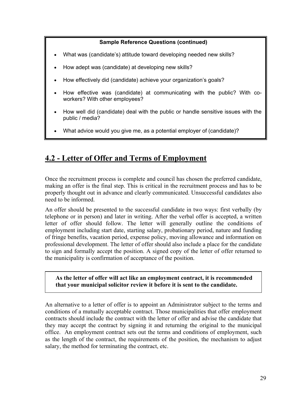#### **Sample Reference Questions (continued)**

- What was (candidate's) attitude toward developing needed new skills?
- How adept was (candidate) at developing new skills?
- How effectively did (candidate) achieve your organization's goals?
- How effective was (candidate) at communicating with the public? With coworkers? With other employees?
- How well did (candidate) deal with the public or handle sensitive issues with the public / media?
- What advice would you give me, as a potential employer of (candidate)?

### **4.2 - Letter of Offer and Terms of Employment**

Once the recruitment process is complete and council has chosen the preferred candidate, making an offer is the final step. This is critical in the recruitment process and has to be properly thought out in advance and clearly communicated. Unsuccessful candidates also need to be informed.

An offer should be presented to the successful candidate in two ways: first verbally (by telephone or in person) and later in writing. After the verbal offer is accepted, a written letter of offer should follow. The letter will generally outline the conditions of employment including start date, starting salary, probationary period, nature and funding of fringe benefits, vacation period, expense policy, moving allowance and information on professional development. The letter of offer should also include a place for the candidate to sign and formally accept the position. A signed copy of the letter of offer returned to the municipality is confirmation of acceptance of the position.

**As the letter of offer will act like an employment contract, it is recommended that your municipal solicitor review it before it is sent to the candidate.** 

An alternative to a letter of offer is to appoint an Administrator subject to the terms and conditions of a mutually acceptable contract. Those municipalities that offer employment contracts should include the contract with the letter of offer and advise the candidate that they may accept the contract by signing it and returning the original to the municipal office. An employment contract sets out the terms and conditions of employment, such as the length of the contract, the requirements of the position, the mechanism to adjust salary, the method for terminating the contract, etc.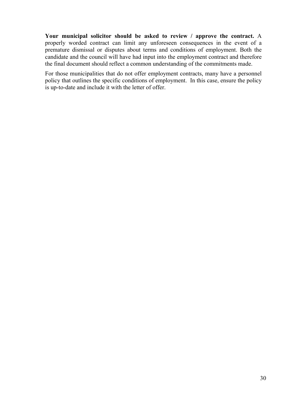**Your municipal solicitor should be asked to review / approve the contract.** A properly worded contract can limit any unforeseen consequences in the event of a premature dismissal or disputes about terms and conditions of employment. Both the candidate and the council will have had input into the employment contract and therefore the final document should reflect a common understanding of the commitments made.

For those municipalities that do not offer employment contracts, many have a personnel policy that outlines the specific conditions of employment. In this case, ensure the policy is up-to-date and include it with the letter of offer.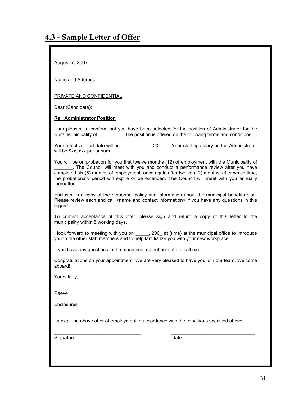August 7, 2007

Name and Address

#### PRIVATE AND CONFIDENTIAL

Dear (Candidate):

#### **Re: Administrator Position**

I am pleased to confirm that you have been selected for the position of Administrator for the Rural Municipality of \_\_\_\_\_\_\_\_\_. The position is offered on the following terms and conditions:

Your effective start date will be \_\_\_\_\_\_\_\_\_\_, 20\_\_\_\_. Your starting salary as the Administrator will be \$xx, xxx per annum.

You will be on probation for you first twelve months (12) of employment with the Municipality of \_\_\_\_\_\_\_. The Council will meet with you and conduct a performance review after you have completed six (6) months of employment, once again after twelve (12) months, after which time, the probationary period will expire or be extended. The Council will meet with you annually thereafter.

Enclosed is a copy of the personnel policy and information about the municipal benefits plan. Please review each and call <name and contact information> if you have any questions in this regard.

To confirm acceptance of this offer, please sign and return a copy of this letter to the municipality within 5 working days.

I look forward to meeting with you on \_\_\_\_\_, 200\_ at (time) at the municipal office to introduce you to the other staff members and to help familiarize you with your new workplace.

If you have any questions in the meantime, do not hesitate to call me.

Congratulations on your appointment. We are very pleased to have you join our team. Welcome aboard!

Yours truly,

Reeve

**Enclosures** 

I accept the above offer of employment in accordance with the conditions specified above.

 $\overline{\phantom{a}}$  , and the contribution of the contribution of  $\overline{\phantom{a}}$  , and  $\overline{\phantom{a}}$  , and  $\overline{\phantom{a}}$  , and  $\overline{\phantom{a}}$ 

Signature Date Date